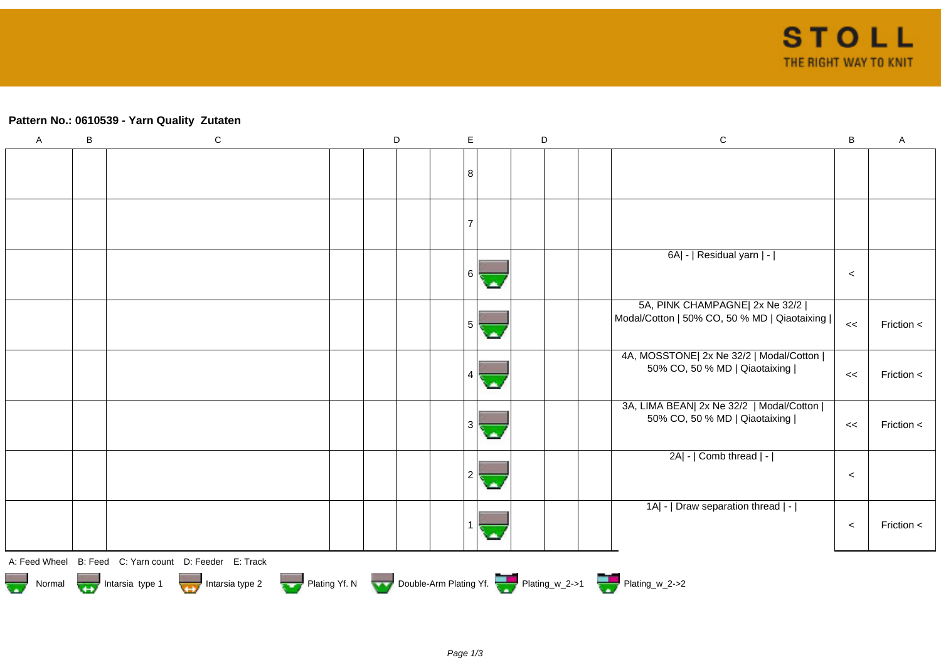## **Pattern No.: 0610539 - Yarn Quality Zutaten**

| $\mathsf A$ | $\sf B$ | ${\bf C}$                                                                                   | D | $\mathsf E$ | $\mathsf D$ | ${\bf C}$<br>$\sf{B}$                                | $\mathsf A$ |
|-------------|---------|---------------------------------------------------------------------------------------------|---|-------------|-------------|------------------------------------------------------|-------------|
|             |         |                                                                                             |   |             |             |                                                      |             |
|             |         |                                                                                             |   | 8           |             |                                                      |             |
|             |         |                                                                                             |   |             |             |                                                      |             |
|             |         |                                                                                             |   |             |             |                                                      |             |
|             |         |                                                                                             |   |             |             |                                                      |             |
|             |         |                                                                                             |   |             |             |                                                      |             |
|             |         |                                                                                             |   |             |             | 6A  -   Residual yarn   -                            |             |
|             |         |                                                                                             |   | 6           |             | $\prec$                                              |             |
|             |         |                                                                                             |   |             |             | 5A, PINK CHAMPAGNE  2x Ne 32/2                       |             |
|             |         |                                                                                             |   | 5           |             | Modal/Cotton   50% CO, 50 % MD   Qiaotaixing  <br><< | Friction <  |
|             |         |                                                                                             |   |             |             |                                                      |             |
|             |         |                                                                                             |   |             |             | 4A, MOSSTONE  2x Ne 32/2   Modal/Cotton              |             |
|             |         |                                                                                             |   |             |             | 50% CO, 50 % MD   Qiaotaixing  <br><<                | Friction <  |
|             |         |                                                                                             |   |             |             |                                                      |             |
|             |         |                                                                                             |   |             |             | 3A, LIMA BEAN  2x Ne 32/2   Modal/Cotton             |             |
|             |         |                                                                                             |   | 3           |             | 50% CO, 50 % MD   Qiaotaixing  <br><<                | Friction <  |
|             |         |                                                                                             |   |             |             |                                                      |             |
|             |         |                                                                                             |   |             |             | 2A  -   Comb thread   -                              |             |
|             |         |                                                                                             |   |             |             | $\prec$                                              |             |
|             |         |                                                                                             |   |             |             | 1A  -   Draw separation thread   -                   |             |
|             |         |                                                                                             |   |             |             |                                                      |             |
|             |         |                                                                                             |   |             |             | $\prec$                                              | Friction <  |
|             |         |                                                                                             |   |             |             |                                                      |             |
|             |         | A: Feed Wheel B: Feed C: Yarn count D: Feeder E: Track                                      |   |             |             |                                                      |             |
|             |         | Normal <b>Double-Arm Plating Yf. N</b> Double-Arm Plating Yf. N Double-Arm Plating Yf. 2->1 |   |             |             |                                                      |             |
|             |         |                                                                                             |   |             |             |                                                      |             |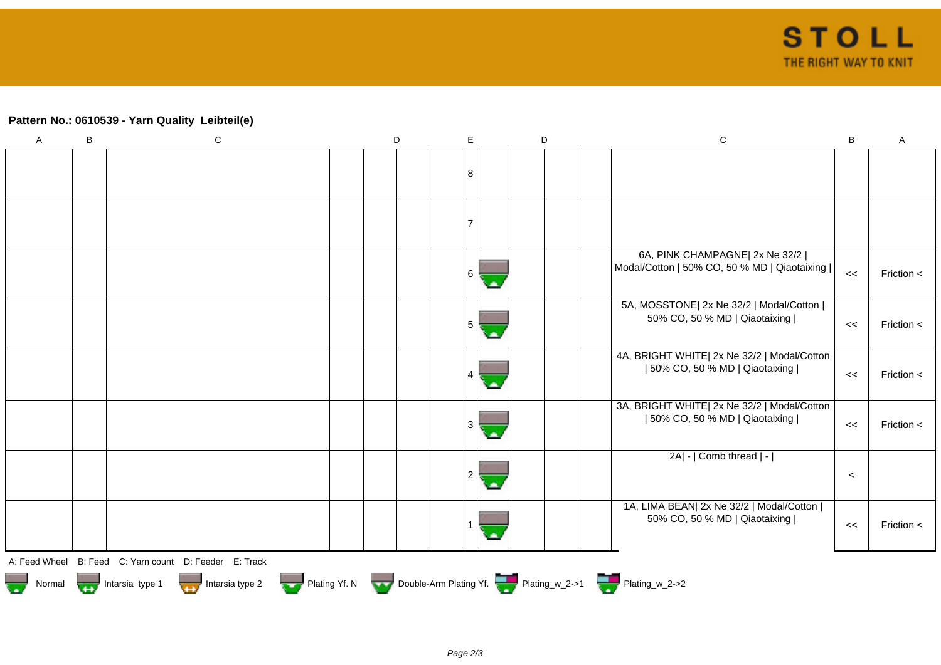## **Pattern No.: 0610539 - Yarn Quality Leibteil(e)**

| $\overline{A}$ | $\sf B$ | ${\bf C}$                                                                              | D | $\mathsf E$ | D |  | ${\bf C}$                                                                        | $\, {\bf B}$ | $\mathsf{A}$   |
|----------------|---------|----------------------------------------------------------------------------------------|---|-------------|---|--|----------------------------------------------------------------------------------|--------------|----------------|
|                |         |                                                                                        |   | 8           |   |  |                                                                                  |              |                |
|                |         |                                                                                        |   |             |   |  |                                                                                  |              |                |
|                |         |                                                                                        |   | 6           |   |  | 6A, PINK CHAMPAGNE  2x Ne 32/2  <br>Modal/Cotton   50% CO, 50 % MD   Qiaotaixing | <<           | Friction $\lt$ |
|                |         |                                                                                        |   | 5           |   |  | 5A, MOSSTONE  2x Ne 32/2   Modal/Cotton  <br>50% CO, 50 % MD   Qiaotaixing       | <<           | Friction $\lt$ |
|                |         |                                                                                        |   |             |   |  | 4A, BRIGHT WHITE  2x Ne 32/2   Modal/Cotton<br>  50% CO, 50 % MD   Qiaotaixing   | <<           | Friction <     |
|                |         |                                                                                        |   |             |   |  | 3A, BRIGHT WHITE  2x Ne 32/2   Modal/Cotton<br>  50% CO, 50 % MD   Qiaotaixing   | <<           | Friction <     |
|                |         |                                                                                        |   |             |   |  | $2A$ - $ $ Comb thread $ $ - $ $                                                 | $\prec$      |                |
|                |         |                                                                                        |   |             |   |  | 1A, LIMA BEAN  2x Ne 32/2   Modal/Cotton  <br>50% CO, 50 % MD   Qiaotaixing      | <<           | Friction <     |
|                |         | A: Feed Wheel B: Feed C: Yarn count D: Feeder E: Track                                 |   |             |   |  |                                                                                  |              |                |
|                |         | Normal <b>Double-Arm Plating Yf. N</b> Double-Arm Plating Yf. N Double-Arm Plating Yf. |   |             |   |  |                                                                                  |              |                |